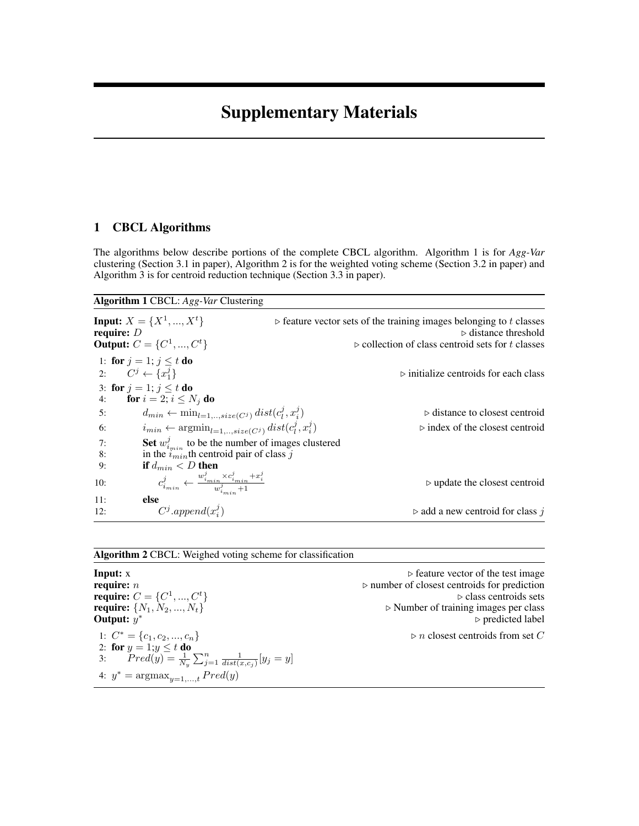# Supplementary Materials

## 1 CBCL Algorithms

The algorithms below describe portions of the complete CBCL algorithm. Algorithm 1 is for *Agg-Var* clustering (Section 3.1 in paper), Algorithm 2 is for the weighted voting scheme (Section 3.2 in paper) and Algorithm 3 is for centroid reduction technique (Section 3.3 in paper).

#### Algorithm 1 CBCL: *Agg-Var* Clustering

| require: $D$                  | <b>Input:</b> $X = \{X^1, , X^t\}$<br><b>Output:</b> $C = \{C^1, , C^t\}$                                                                                                                                                                                                       | $\triangleright$ feature vector sets of the training images belonging to t classes<br>$\triangleright$ distance threshold<br>$\triangleright$ collection of class centroid sets for t classes |
|-------------------------------|---------------------------------------------------------------------------------------------------------------------------------------------------------------------------------------------------------------------------------------------------------------------------------|-----------------------------------------------------------------------------------------------------------------------------------------------------------------------------------------------|
| 2: $C^j \leftarrow \{x_1^j\}$ | 1: for $j=1$ ; $j \leq t$ do<br>3: for $j = 1$ ; $j \le t$ do                                                                                                                                                                                                                   | $\triangleright$ initialize centroids for each class                                                                                                                                          |
| 4:<br>5:<br>6:<br>7:<br>8:    | for $i=2; i \leq N_i$ do<br>$d_{min} \leftarrow \min_{l=1,,size(C^j)} dist(c^j_l, x^j_i)$<br>$i_{min} \leftarrow \text{argmin}_{l=1,,size(C^j)} dist(c^j_l, x^j_i)$<br>Set $w_{i_{min}}^j$ to be the number of images clustered<br>in the $i_{min}$ th centroid pair of class j | $\triangleright$ distance to closest centroid<br>$\triangleright$ index of the closest centroid                                                                                               |
| 9:<br>10:                     | if $d_{min} < D$ then<br>$c_{i_{min}}^j \leftarrow \frac{w_{i_{min}}^j \times c_{i_{min}}^j + x_i^j}{w_i^j}$                                                                                                                                                                    | $\triangleright$ update the closest centroid                                                                                                                                                  |
| 11:<br>12:                    | else<br>$C^j.append(x_i^j)$                                                                                                                                                                                                                                                     | $\triangleright$ add a new centroid for class j                                                                                                                                               |

#### Algorithm 2 CBCL: Weighed voting scheme for classification

**Input:**  $x \rightarrow$  feature vector of the test image<br>require:  $n \rightarrow$  number of closest centroids for prediction require:  $C = \{C^1$ Output:  $y^*$ 1:  $C^* = \{c_1, c_2, ..., c_n\}$   $\triangleright n$  closest centroids from set C 2: for  $y = 1; y \leq t$  do 3:  $Pred(y) = \frac{1}{N_y} \sum_{j=1}^{n} \frac{1}{dist(x,c_j)}[y_j = y]$ 4:  $y^* = \text{argmax}_{y=1,...,t} Pred(y)$ 

 $\rhd$  number of closest centroids for prediction  $\rhd$  class centroids sets  $\triangleright$  Number of training images per class <sup>∗</sup> . predicted label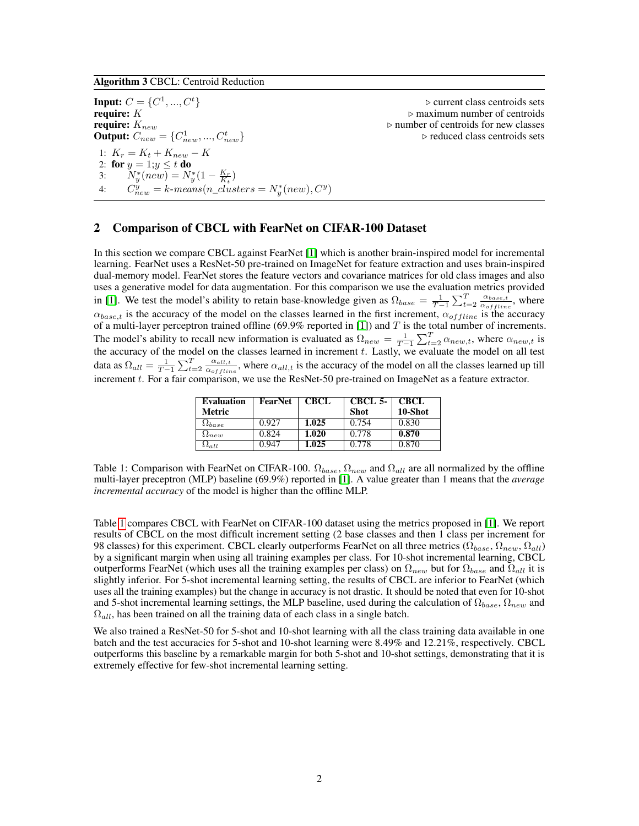Algorithm 3 CBCL: Centroid Reduction

Input:  $C = \{C^1$ **require:**  $K$   $\triangleright$  maximum number of centroids<br> **require:**  $K_{new}$ **Output:**  $C_{new} = \{C_{new}^1, ..., C_{n}^t\}$ 1:  $K_r = K_t + K_{new} - K$ 2: for  $y = 1; y \leq t$  do 3:  $N_y^*(new) = N_y^*(1 - \frac{K_r}{K_t})$ 4:  $C_{new}^{y} = k$ -means $(n\_clusters = N_{y}^{*}(new), C^{y})$ 

 $\triangleright$  current class centroids sets  $\rhd$  number of centroids for new classes  $\rhd$  reduced class centroids sets

#### 2 Comparison of CBCL with FearNet on CIFAR-100 Dataset

In this section we compare CBCL against FearNet [\[1\]](#page-6-0) which is another brain-inspired model for incremental learning. FearNet uses a ResNet-50 pre-trained on ImageNet for feature extraction and uses brain-inspired dual-memory model. FearNet stores the feature vectors and covariance matrices for old class images and also uses a generative model for data augmentation. For this comparison we use the evaluation metrics provided in [\[1\]](#page-6-0). We test the model's ability to retain base-knowledge given as  $\Omega_{base} = \frac{1}{T-1} \sum_{t=2}^{T} \frac{\alpha_{base,t}}{\alpha_{offline}}$  $\frac{\alpha_{base,t}}{\alpha_{offline}}$ , where  $\alpha_{base,t}$  is the accuracy of the model on the classes learned in the first increment,  $\alpha_{offline}$  is the accuracy of a multi-layer perceptron trained offline (69.9% reported in [\[1\]](#page-6-0)) and  $T$  is the total number of increments. The model's ability to recall new information is evaluated as  $\Omega_{new} = \frac{1}{T-1} \sum_{t=2}^{T} \alpha_{new,t}$ , where  $\alpha_{new,t}$  is the accuracy of the model on the classes learned in increment t. Lastly, we evaluate the model on all test data as  $\Omega_{all} = \frac{1}{T-1}\sum_{t=2}^{T} \frac{\alpha_{all,t}}{\alpha_{offlir}}$  $\frac{\alpha_{all,t}}{\alpha_{offline}}$ , where  $\alpha_{all,t}$  is the accuracy of the model on all the classes learned up till increment t. For a fair comparison, we use the ResNet-50 pre-trained on ImageNet as a feature extractor.

| <b>Evaluation</b><br><b>Metric</b> | FearNet | <b>CBCL</b> | CBCL 5-<br><b>Shot</b> | <b>CBCL</b><br>10-Shot |
|------------------------------------|---------|-------------|------------------------|------------------------|
| $\Omega_{base}$                    | 0.927   | 1.025       | 0.754                  | 0.830                  |
| $\Omega_{new}$                     | 0.824   | 1.020       | 0.778                  | 0.870                  |
| $\Omega_{all}$                     | 0.947   | 1.025       | 0.778                  | 0.870                  |

<span id="page-1-0"></span>Table 1: Comparison with FearNet on CIFAR-100.  $\Omega_{base}$ ,  $\Omega_{new}$  and  $\Omega_{all}$  are all normalized by the offline multi-layer preceptron (MLP) baseline (69.9%) reported in [\[1\]](#page-6-0). A value greater than 1 means that the *average incremental accuracy* of the model is higher than the offline MLP.

Table [1](#page-1-0) compares CBCL with FearNet on CIFAR-100 dataset using the metrics proposed in [\[1\]](#page-6-0). We report results of CBCL on the most difficult increment setting (2 base classes and then 1 class per increment for 98 classes) for this experiment. CBCL clearly outperforms FearNet on all three metrics ( $\Omega_{base}$ ,  $\Omega_{new}$ ,  $\Omega_{all}$ ) by a significant margin when using all training examples per class. For 10-shot incremental learning, CBCL outperforms FearNet (which uses all the training examples per class) on  $\Omega_{new}$  but for  $\Omega_{base}$  and  $\Omega_{all}$  it is slightly inferior. For 5-shot incremental learning setting, the results of CBCL are inferior to FearNet (which uses all the training examples) but the change in accuracy is not drastic. It should be noted that even for 10-shot and 5-shot incremental learning settings, the MLP baseline, used during the calculation of  $\Omega_{base}$ ,  $\Omega_{new}$  and  $\Omega_{all}$ , has been trained on all the training data of each class in a single batch.

We also trained a ResNet-50 for 5-shot and 10-shot learning with all the class training data available in one batch and the test accuracies for 5-shot and 10-shot learning were 8.49% and 12.21%, respectively. CBCL outperforms this baseline by a remarkable margin for both 5-shot and 10-shot settings, demonstrating that it is extremely effective for few-shot incremental learning setting.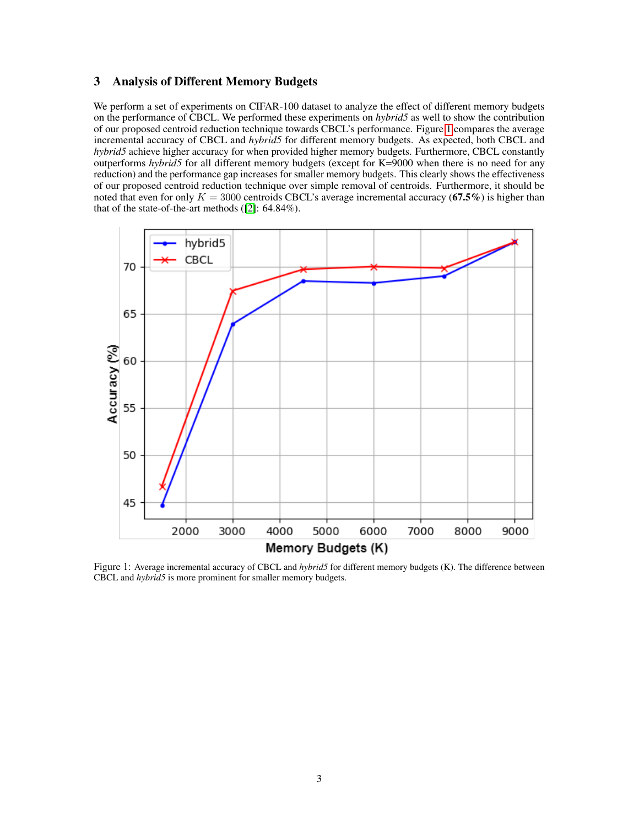## 3 Analysis of Different Memory Budgets

We perform a set of experiments on CIFAR-100 dataset to analyze the effect of different memory budgets on the performance of CBCL. We performed these experiments on *hybrid5* as well to show the contribution of our proposed centroid reduction technique towards CBCL's performance. Figure [1](#page-2-0) compares the average incremental accuracy of CBCL and *hybrid5* for different memory budgets. As expected, both CBCL and *hybrid5* achieve higher accuracy for when provided higher memory budgets. Furthermore, CBCL constantly outperforms *hybrid5* for all different memory budgets (except for K=9000 when there is no need for any reduction) and the performance gap increases for smaller memory budgets. This clearly shows the effectiveness of our proposed centroid reduction technique over simple removal of centroids. Furthermore, it should be noted that even for only  $K = 3000$  centroids CBCL's average incremental accuracy (67.5%) is higher than that of the state-of-the-art methods ([\[2\]](#page-6-1): 64.84%).

<span id="page-2-0"></span>

Figure 1: Average incremental accuracy of CBCL and *hybrid5* for different memory budgets (K). The difference between CBCL and *hybrid5* is more prominent for smaller memory budgets.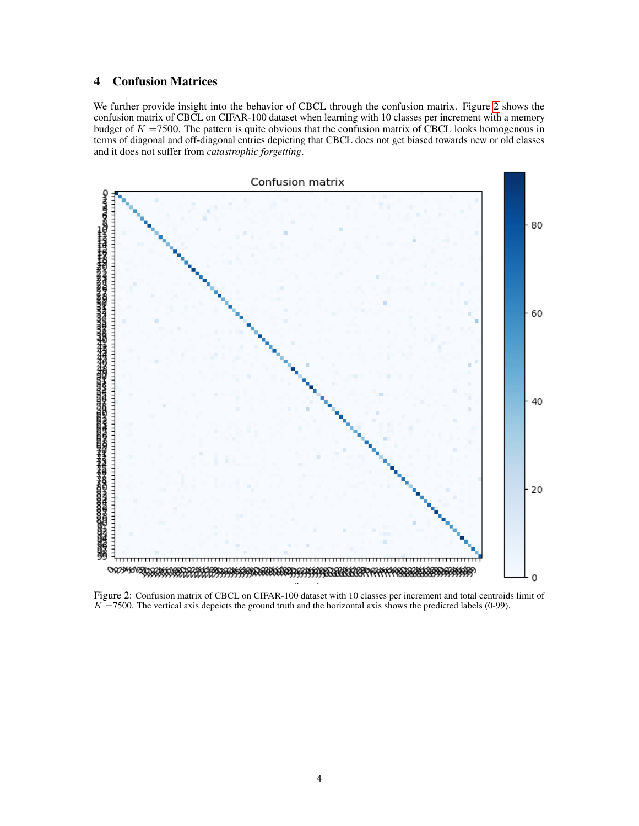## 4 Confusion Matrices

We further provide insight into the behavior of CBCL through the confusion matrix. Figure [2](#page-3-0) shows the confusion matrix of CBCL on CIFAR-100 dataset when learning with 10 classes per increment with a memory budget of  $K = 7500$ . The pattern is quite obvious that the confusion matrix of CBCL looks homogenous in terms of diagonal and off-diagonal entries depicting that CBCL does not get biased towards new or old classes and it does not suffer from *catastrophic forgetting*.

<span id="page-3-0"></span>

Figure 2: Confusion matrix of CBCL on CIFAR-100 dataset with 10 classes per increment and total centroids limit of  $K = 7500$ . The vertical axis depeicts the ground truth and the horizontal axis shows the predicted labels (0-99).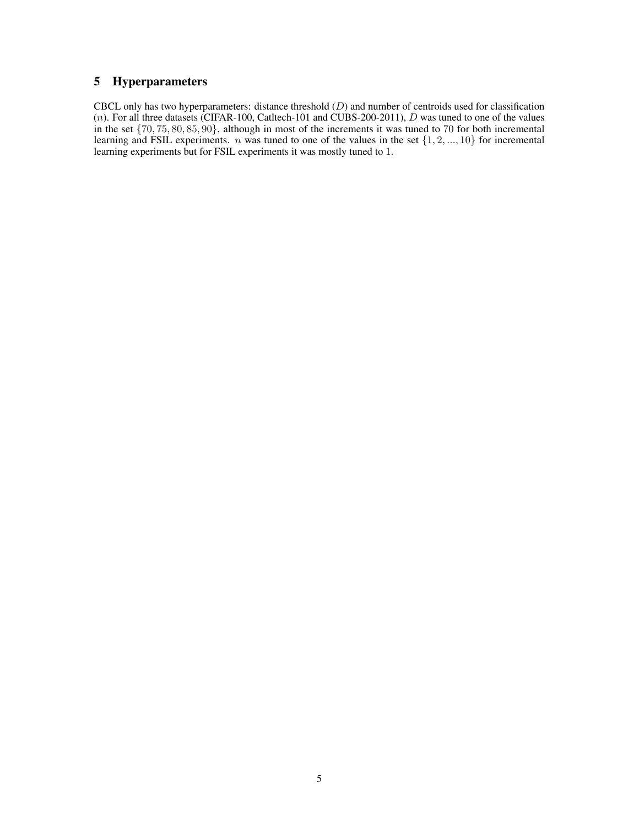## 5 Hyperparameters

CBCL only has two hyperparameters: distance threshold  $(D)$  and number of centroids used for classification (n). For all three datasets (CIFAR-100, Catltech-101 and CUBS-200-2011),  $D$  was tuned to one of the values in the set  $\{70, 75, 80, 85, 90\}$ , although in most of the increments it was tuned to 70 for both incremental learning and FSIL experiments. *n* was tuned to one of the values in the set  $\{1, 2, ..., 10\}$  for incremental learning experiments but for FSIL experiments it was mostly tuned to 1.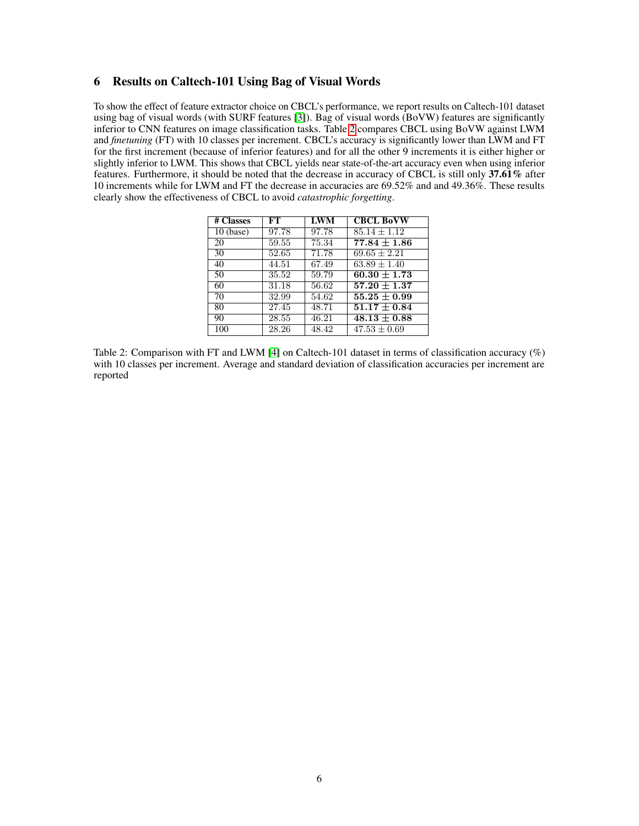### 6 Results on Caltech-101 Using Bag of Visual Words

<span id="page-5-0"></span>To show the effect of feature extractor choice on CBCL's performance, we report results on Caltech-101 dataset using bag of visual words (with SURF features [\[3\]](#page-6-2)). Bag of visual words (BoVW) features are significantly inferior to CNN features on image classification tasks. Table [2](#page-5-0) compares CBCL using BoVW against LWM and *finetuning* (FT) with 10 classes per increment. CBCL's accuracy is significantly lower than LWM and FT for the first increment (because of inferior features) and for all the other 9 increments it is either higher or slightly inferior to LWM. This shows that CBCL yields near state-of-the-art accuracy even when using inferior features. Furthermore, it should be noted that the decrease in accuracy of CBCL is still only 37.61% after 10 increments while for LWM and FT the decrease in accuracies are 69.52% and and 49.36%. These results clearly show the effectiveness of CBCL to avoid *catastrophic forgetting*.

| # Classes   | FT    | <b>LWM</b> | <b>CBCL BoVW</b> |
|-------------|-------|------------|------------------|
| $10$ (base) | 97.78 | 97.78      | $85.14 + 1.12$   |
| 20          | 59.55 | 75.34      | $77.84 \pm 1.86$ |
| 30          | 52.65 | 71.78      | $69.65 \pm 2.21$ |
| 40          | 44.51 | 67.49      | $63.89 \pm 1.40$ |
| 50          | 35.52 | 59.79      | $60.30 \pm 1.73$ |
| 60          | 31.18 | 56.62      | $57.20 \pm 1.37$ |
| 70          | 32.99 | 54.62      | $55.25 \pm 0.99$ |
| 80          | 27.45 | 48.71      | $51.17\pm0.84$   |
| 90          | 28.55 | 46.21      | $48.13 \pm 0.88$ |
| 100         | 28.26 | 48.42      | $47.53 \pm 0.69$ |

Table 2: Comparison with FT and LWM [\[4\]](#page-6-3) on Caltech-101 dataset in terms of classification accuracy (%) with 10 classes per increment. Average and standard deviation of classification accuracies per increment are reported